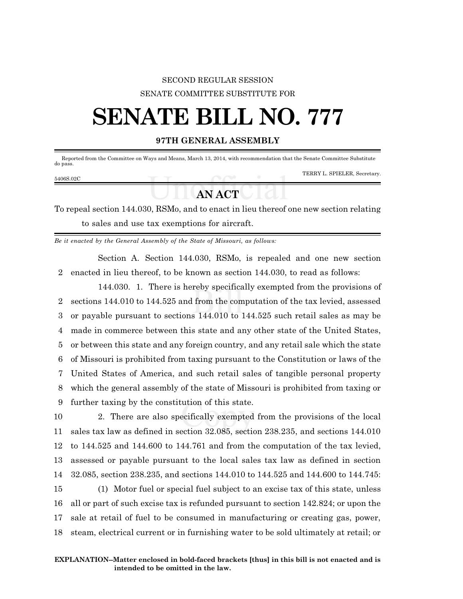## SECOND REGULAR SESSION SENATE COMMITTEE SUBSTITUTE FOR

# **SENATE BILL NO. 777**

### **97TH GENERAL ASSEMBLY**

 Reported from the Committee on Ways and Means, March 13, 2014, with recommendation that the Senate Committee Substitute do pass.

#### 5406S.02C

TERRY L. SPIELER, Secretary.

## **AN ACT**

To repeal section 144.030, RSMo, and to enact in lieu thereof one new section relating to sales and use tax exemptions for aircraft.

*Be it enacted by the General Assembly of the State of Missouri, as follows:*

Section A. Section 144.030, RSMo, is repealed and one new section 2 enacted in lieu thereof, to be known as section 144.030, to read as follows:

144.030. 1. There is hereby specifically exempted from the provisions of sections 144.010 to 144.525 and from the computation of the tax levied, assessed or payable pursuant to sections 144.010 to 144.525 such retail sales as may be made in commerce between this state and any other state of the United States, or between this state and any foreign country, and any retail sale which the state of Missouri is prohibited from taxing pursuant to the Constitution or laws of the United States of America, and such retail sales of tangible personal property which the general assembly of the state of Missouri is prohibited from taxing or further taxing by the constitution of this state.

 2. There are also specifically exempted from the provisions of the local sales tax law as defined in section 32.085, section 238.235, and sections 144.010 to 144.525 and 144.600 to 144.761 and from the computation of the tax levied, assessed or payable pursuant to the local sales tax law as defined in section 32.085, section 238.235, and sections 144.010 to 144.525 and 144.600 to 144.745: (1) Motor fuel or special fuel subject to an excise tax of this state, unless all or part of such excise tax is refunded pursuant to section 142.824; or upon the sale at retail of fuel to be consumed in manufacturing or creating gas, power, steam, electrical current or in furnishing water to be sold ultimately at retail; or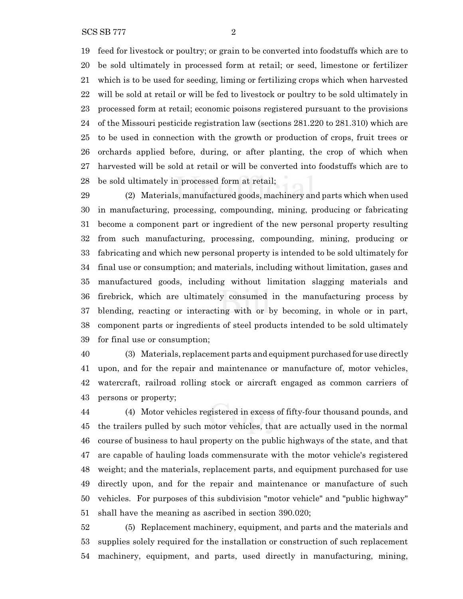feed for livestock or poultry; or grain to be converted into foodstuffs which are to be sold ultimately in processed form at retail; or seed, limestone or fertilizer which is to be used for seeding, liming or fertilizing crops which when harvested will be sold at retail or will be fed to livestock or poultry to be sold ultimately in processed form at retail; economic poisons registered pursuant to the provisions of the Missouri pesticide registration law (sections 281.220 to 281.310) which are to be used in connection with the growth or production of crops, fruit trees or orchards applied before, during, or after planting, the crop of which when harvested will be sold at retail or will be converted into foodstuffs which are to be sold ultimately in processed form at retail;

 (2) Materials, manufactured goods, machinery and parts which when used in manufacturing, processing, compounding, mining, producing or fabricating become a component part or ingredient of the new personal property resulting from such manufacturing, processing, compounding, mining, producing or fabricating and which new personal property is intended to be sold ultimately for final use or consumption; and materials, including without limitation, gases and manufactured goods, including without limitation slagging materials and firebrick, which are ultimately consumed in the manufacturing process by blending, reacting or interacting with or by becoming, in whole or in part, component parts or ingredients of steel products intended to be sold ultimately for final use or consumption;

 (3) Materials, replacement parts and equipment purchased for use directly upon, and for the repair and maintenance or manufacture of, motor vehicles, watercraft, railroad rolling stock or aircraft engaged as common carriers of persons or property;

 (4) Motor vehicles registered in excess of fifty-four thousand pounds, and the trailers pulled by such motor vehicles, that are actually used in the normal course of business to haul property on the public highways of the state, and that are capable of hauling loads commensurate with the motor vehicle's registered weight; and the materials, replacement parts, and equipment purchased for use directly upon, and for the repair and maintenance or manufacture of such vehicles. For purposes of this subdivision "motor vehicle" and "public highway" shall have the meaning as ascribed in section 390.020;

 (5) Replacement machinery, equipment, and parts and the materials and supplies solely required for the installation or construction of such replacement machinery, equipment, and parts, used directly in manufacturing, mining,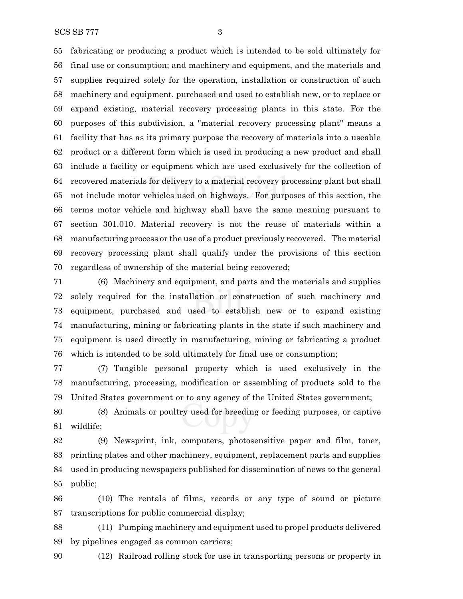SCS SB 777 3

 fabricating or producing a product which is intended to be sold ultimately for final use or consumption; and machinery and equipment, and the materials and supplies required solely for the operation, installation or construction of such machinery and equipment, purchased and used to establish new, or to replace or expand existing, material recovery processing plants in this state. For the purposes of this subdivision, a "material recovery processing plant" means a facility that has as its primary purpose the recovery of materials into a useable product or a different form which is used in producing a new product and shall include a facility or equipment which are used exclusively for the collection of recovered materials for delivery to a material recovery processing plant but shall not include motor vehicles used on highways. For purposes of this section, the terms motor vehicle and highway shall have the same meaning pursuant to section 301.010. Material recovery is not the reuse of materials within a manufacturing process or the use of a product previously recovered. The material recovery processing plant shall qualify under the provisions of this section regardless of ownership of the material being recovered;

 (6) Machinery and equipment, and parts and the materials and supplies solely required for the installation or construction of such machinery and equipment, purchased and used to establish new or to expand existing manufacturing, mining or fabricating plants in the state if such machinery and equipment is used directly in manufacturing, mining or fabricating a product which is intended to be sold ultimately for final use or consumption;

 (7) Tangible personal property which is used exclusively in the manufacturing, processing, modification or assembling of products sold to the United States government or to any agency of the United States government;

 (8) Animals or poultry used for breeding or feeding purposes, or captive wildlife;

 (9) Newsprint, ink, computers, photosensitive paper and film, toner, printing plates and other machinery, equipment, replacement parts and supplies used in producing newspapers published for dissemination of news to the general public;

 (10) The rentals of films, records or any type of sound or picture transcriptions for public commercial display;

 (11) Pumping machinery and equipment used to propel products delivered by pipelines engaged as common carriers;

(12) Railroad rolling stock for use in transporting persons or property in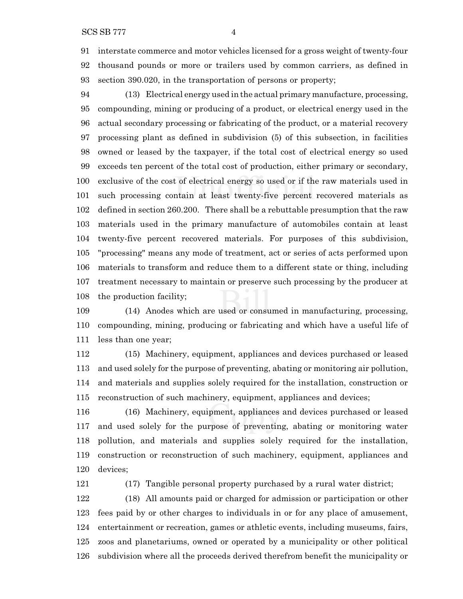interstate commerce and motor vehicles licensed for a gross weight of twenty-four thousand pounds or more or trailers used by common carriers, as defined in section 390.020, in the transportation of persons or property;

 (13) Electrical energy used in the actual primary manufacture, processing, compounding, mining or producing of a product, or electrical energy used in the actual secondary processing or fabricating of the product, or a material recovery processing plant as defined in subdivision (5) of this subsection, in facilities owned or leased by the taxpayer, if the total cost of electrical energy so used exceeds ten percent of the total cost of production, either primary or secondary, exclusive of the cost of electrical energy so used or if the raw materials used in such processing contain at least twenty-five percent recovered materials as defined in section 260.200. There shall be a rebuttable presumption that the raw materials used in the primary manufacture of automobiles contain at least twenty-five percent recovered materials. For purposes of this subdivision, "processing" means any mode of treatment, act or series of acts performed upon materials to transform and reduce them to a different state or thing, including treatment necessary to maintain or preserve such processing by the producer at the production facility;

 (14) Anodes which are used or consumed in manufacturing, processing, compounding, mining, producing or fabricating and which have a useful life of less than one year;

 (15) Machinery, equipment, appliances and devices purchased or leased and used solely for the purpose of preventing, abating or monitoring air pollution, and materials and supplies solely required for the installation, construction or reconstruction of such machinery, equipment, appliances and devices;

 (16) Machinery, equipment, appliances and devices purchased or leased and used solely for the purpose of preventing, abating or monitoring water pollution, and materials and supplies solely required for the installation, construction or reconstruction of such machinery, equipment, appliances and devices;

(17) Tangible personal property purchased by a rural water district;

 (18) All amounts paid or charged for admission or participation or other fees paid by or other charges to individuals in or for any place of amusement, entertainment or recreation, games or athletic events, including museums, fairs, zoos and planetariums, owned or operated by a municipality or other political subdivision where all the proceeds derived therefrom benefit the municipality or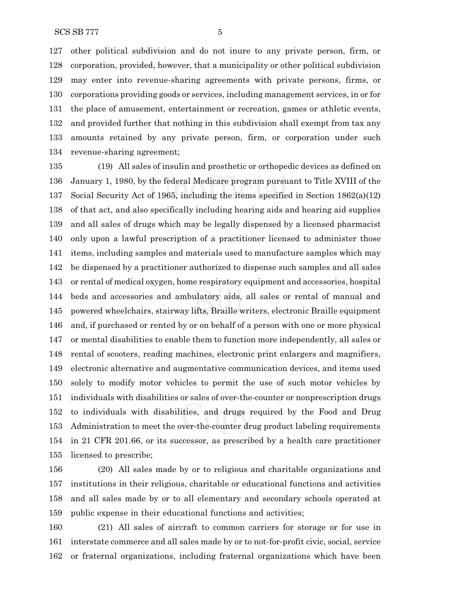other political subdivision and do not inure to any private person, firm, or corporation, provided, however, that a municipality or other political subdivision may enter into revenue-sharing agreements with private persons, firms, or corporations providing goods or services, including management services, in or for the place of amusement, entertainment or recreation, games or athletic events, and provided further that nothing in this subdivision shall exempt from tax any amounts retained by any private person, firm, or corporation under such revenue-sharing agreement;

 (19) All sales of insulin and prosthetic or orthopedic devices as defined on January 1, 1980, by the federal Medicare program pursuant to Title XVIII of the Social Security Act of 1965, including the items specified in Section 1862(a)(12) of that act, and also specifically including hearing aids and hearing aid supplies and all sales of drugs which may be legally dispensed by a licensed pharmacist only upon a lawful prescription of a practitioner licensed to administer those items, including samples and materials used to manufacture samples which may be dispensed by a practitioner authorized to dispense such samples and all sales or rental of medical oxygen, home respiratory equipment and accessories, hospital beds and accessories and ambulatory aids, all sales or rental of manual and powered wheelchairs, stairway lifts, Braille writers, electronic Braille equipment and, if purchased or rented by or on behalf of a person with one or more physical or mental disabilities to enable them to function more independently, all sales or rental of scooters, reading machines, electronic print enlargers and magnifiers, electronic alternative and augmentative communication devices, and items used solely to modify motor vehicles to permit the use of such motor vehicles by individuals with disabilities or sales of over-the-counter or nonprescription drugs to individuals with disabilities, and drugs required by the Food and Drug Administration to meet the over-the-counter drug product labeling requirements in 21 CFR 201.66, or its successor, as prescribed by a health care practitioner licensed to prescribe;

 (20) All sales made by or to religious and charitable organizations and institutions in their religious, charitable or educational functions and activities and all sales made by or to all elementary and secondary schools operated at public expense in their educational functions and activities;

 (21) All sales of aircraft to common carriers for storage or for use in interstate commerce and all sales made by or to not-for-profit civic, social, service or fraternal organizations, including fraternal organizations which have been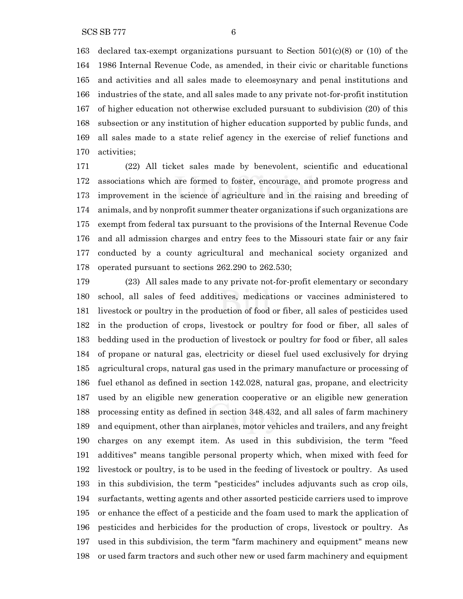163 declared tax-exempt organizations pursuant to Section  $501(c)(8)$  or (10) of the 1986 Internal Revenue Code, as amended, in their civic or charitable functions and activities and all sales made to eleemosynary and penal institutions and industries of the state, and all sales made to any private not-for-profit institution of higher education not otherwise excluded pursuant to subdivision (20) of this subsection or any institution of higher education supported by public funds, and

all sales made to a state relief agency in the exercise of relief functions and

 activities; (22) All ticket sales made by benevolent, scientific and educational associations which are formed to foster, encourage, and promote progress and improvement in the science of agriculture and in the raising and breeding of animals, and by nonprofit summer theater organizations if such organizations are exempt from federal tax pursuant to the provisions of the Internal Revenue Code and all admission charges and entry fees to the Missouri state fair or any fair conducted by a county agricultural and mechanical society organized and operated pursuant to sections 262.290 to 262.530;

 (23) All sales made to any private not-for-profit elementary or secondary school, all sales of feed additives, medications or vaccines administered to livestock or poultry in the production of food or fiber, all sales of pesticides used in the production of crops, livestock or poultry for food or fiber, all sales of bedding used in the production of livestock or poultry for food or fiber, all sales of propane or natural gas, electricity or diesel fuel used exclusively for drying agricultural crops, natural gas used in the primary manufacture or processing of fuel ethanol as defined in section 142.028, natural gas, propane, and electricity used by an eligible new generation cooperative or an eligible new generation processing entity as defined in section 348.432, and all sales of farm machinery and equipment, other than airplanes, motor vehicles and trailers, and any freight charges on any exempt item. As used in this subdivision, the term "feed additives" means tangible personal property which, when mixed with feed for livestock or poultry, is to be used in the feeding of livestock or poultry. As used in this subdivision, the term "pesticides" includes adjuvants such as crop oils, surfactants, wetting agents and other assorted pesticide carriers used to improve or enhance the effect of a pesticide and the foam used to mark the application of pesticides and herbicides for the production of crops, livestock or poultry. As used in this subdivision, the term "farm machinery and equipment" means new or used farm tractors and such other new or used farm machinery and equipment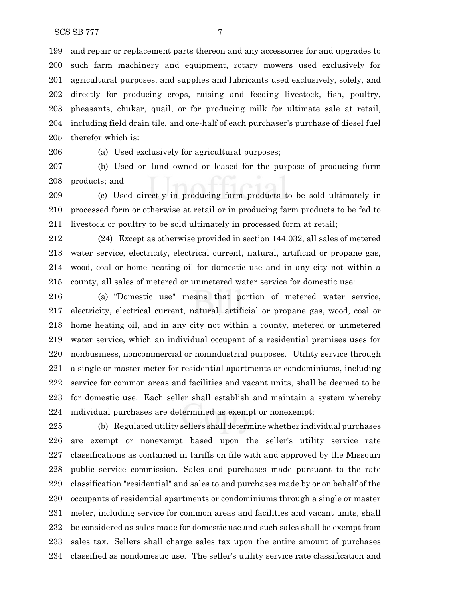and repair or replacement parts thereon and any accessories for and upgrades to such farm machinery and equipment, rotary mowers used exclusively for agricultural purposes, and supplies and lubricants used exclusively, solely, and directly for producing crops, raising and feeding livestock, fish, poultry, pheasants, chukar, quail, or for producing milk for ultimate sale at retail, including field drain tile, and one-half of each purchaser's purchase of diesel fuel therefor which is:

(a) Used exclusively for agricultural purposes;

 (b) Used on land owned or leased for the purpose of producing farm products; and

 (c) Used directly in producing farm products to be sold ultimately in processed form or otherwise at retail or in producing farm products to be fed to livestock or poultry to be sold ultimately in processed form at retail;

 (24) Except as otherwise provided in section 144.032, all sales of metered water service, electricity, electrical current, natural, artificial or propane gas, wood, coal or home heating oil for domestic use and in any city not within a county, all sales of metered or unmetered water service for domestic use:

 (a) "Domestic use" means that portion of metered water service, electricity, electrical current, natural, artificial or propane gas, wood, coal or home heating oil, and in any city not within a county, metered or unmetered water service, which an individual occupant of a residential premises uses for nonbusiness, noncommercial or nonindustrial purposes. Utility service through a single or master meter for residential apartments or condominiums, including service for common areas and facilities and vacant units, shall be deemed to be for domestic use. Each seller shall establish and maintain a system whereby individual purchases are determined as exempt or nonexempt;

 (b) Regulated utility sellers shall determine whether individual purchases are exempt or nonexempt based upon the seller's utility service rate classifications as contained in tariffs on file with and approved by the Missouri public service commission. Sales and purchases made pursuant to the rate classification "residential" and sales to and purchases made by or on behalf of the occupants of residential apartments or condominiums through a single or master meter, including service for common areas and facilities and vacant units, shall be considered as sales made for domestic use and such sales shall be exempt from sales tax. Sellers shall charge sales tax upon the entire amount of purchases classified as nondomestic use. The seller's utility service rate classification and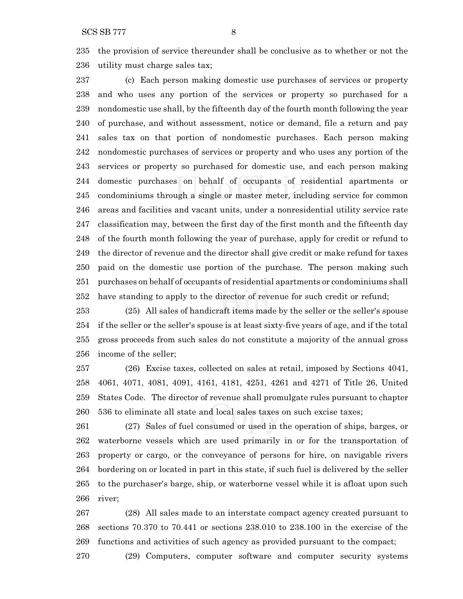the provision of service thereunder shall be conclusive as to whether or not the utility must charge sales tax;

 (c) Each person making domestic use purchases of services or property and who uses any portion of the services or property so purchased for a nondomestic use shall, by the fifteenth day of the fourth month following the year of purchase, and without assessment, notice or demand, file a return and pay sales tax on that portion of nondomestic purchases. Each person making nondomestic purchases of services or property and who uses any portion of the services or property so purchased for domestic use, and each person making domestic purchases on behalf of occupants of residential apartments or condominiums through a single or master meter, including service for common areas and facilities and vacant units, under a nonresidential utility service rate classification may, between the first day of the first month and the fifteenth day of the fourth month following the year of purchase, apply for credit or refund to the director of revenue and the director shall give credit or make refund for taxes paid on the domestic use portion of the purchase. The person making such purchases on behalf of occupants of residential apartments or condominiums shall have standing to apply to the director of revenue for such credit or refund;

 (25) All sales of handicraft items made by the seller or the seller's spouse if the seller or the seller's spouse is at least sixty-five years of age, and if the total gross proceeds from such sales do not constitute a majority of the annual gross income of the seller;

 (26) Excise taxes, collected on sales at retail, imposed by Sections 4041, 4061, 4071, 4081, 4091, 4161, 4181, 4251, 4261 and 4271 of Title 26, United States Code. The director of revenue shall promulgate rules pursuant to chapter 536 to eliminate all state and local sales taxes on such excise taxes;

 (27) Sales of fuel consumed or used in the operation of ships, barges, or waterborne vessels which are used primarily in or for the transportation of property or cargo, or the conveyance of persons for hire, on navigable rivers bordering on or located in part in this state, if such fuel is delivered by the seller to the purchaser's barge, ship, or waterborne vessel while it is afloat upon such river;

 (28) All sales made to an interstate compact agency created pursuant to sections 70.370 to 70.441 or sections 238.010 to 238.100 in the exercise of the functions and activities of such agency as provided pursuant to the compact;

(29) Computers, computer software and computer security systems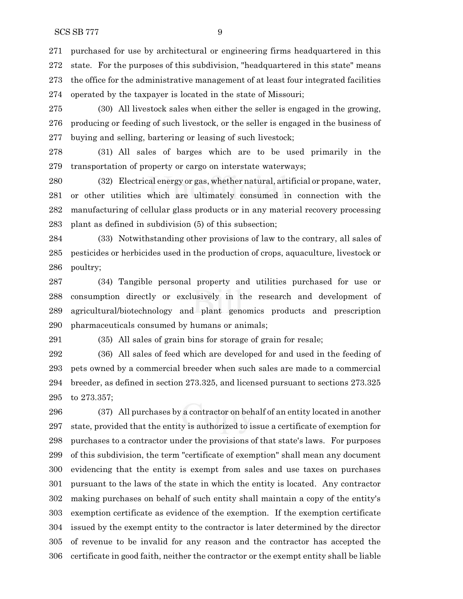purchased for use by architectural or engineering firms headquartered in this state. For the purposes of this subdivision, "headquartered in this state" means the office for the administrative management of at least four integrated facilities operated by the taxpayer is located in the state of Missouri;

 (30) All livestock sales when either the seller is engaged in the growing, producing or feeding of such livestock, or the seller is engaged in the business of buying and selling, bartering or leasing of such livestock;

 (31) All sales of barges which are to be used primarily in the transportation of property or cargo on interstate waterways;

 (32) Electrical energy or gas, whether natural, artificial or propane, water, or other utilities which are ultimately consumed in connection with the manufacturing of cellular glass products or in any material recovery processing plant as defined in subdivision (5) of this subsection;

 (33) Notwithstanding other provisions of law to the contrary, all sales of pesticides or herbicides used in the production of crops, aquaculture, livestock or poultry;

 (34) Tangible personal property and utilities purchased for use or consumption directly or exclusively in the research and development of agricultural/biotechnology and plant genomics products and prescription pharmaceuticals consumed by humans or animals;

(35) All sales of grain bins for storage of grain for resale;

 (36) All sales of feed which are developed for and used in the feeding of pets owned by a commercial breeder when such sales are made to a commercial breeder, as defined in section 273.325, and licensed pursuant to sections 273.325 to 273.357;

 (37) All purchases by a contractor on behalf of an entity located in another state, provided that the entity is authorized to issue a certificate of exemption for purchases to a contractor under the provisions of that state's laws. For purposes of this subdivision, the term "certificate of exemption" shall mean any document evidencing that the entity is exempt from sales and use taxes on purchases pursuant to the laws of the state in which the entity is located. Any contractor making purchases on behalf of such entity shall maintain a copy of the entity's exemption certificate as evidence of the exemption. If the exemption certificate issued by the exempt entity to the contractor is later determined by the director of revenue to be invalid for any reason and the contractor has accepted the certificate in good faith, neither the contractor or the exempt entity shall be liable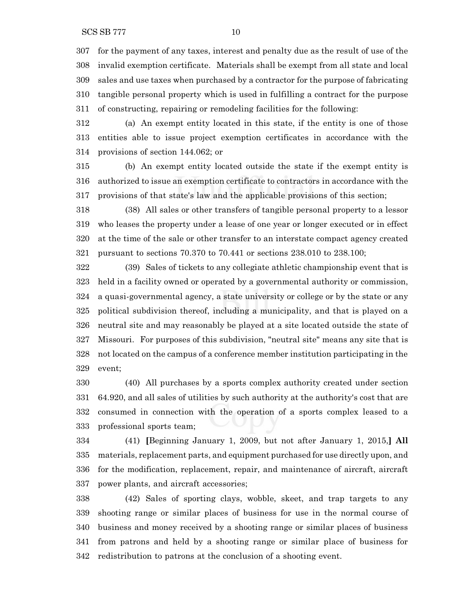for the payment of any taxes, interest and penalty due as the result of use of the invalid exemption certificate. Materials shall be exempt from all state and local sales and use taxes when purchased by a contractor for the purpose of fabricating tangible personal property which is used in fulfilling a contract for the purpose of constructing, repairing or remodeling facilities for the following:

 (a) An exempt entity located in this state, if the entity is one of those entities able to issue project exemption certificates in accordance with the provisions of section 144.062; or

 (b) An exempt entity located outside the state if the exempt entity is authorized to issue an exemption certificate to contractors in accordance with the provisions of that state's law and the applicable provisions of this section;

 (38) All sales or other transfers of tangible personal property to a lessor who leases the property under a lease of one year or longer executed or in effect at the time of the sale or other transfer to an interstate compact agency created pursuant to sections 70.370 to 70.441 or sections 238.010 to 238.100;

 (39) Sales of tickets to any collegiate athletic championship event that is held in a facility owned or operated by a governmental authority or commission, a quasi-governmental agency, a state university or college or by the state or any political subdivision thereof, including a municipality, and that is played on a neutral site and may reasonably be played at a site located outside the state of Missouri. For purposes of this subdivision, "neutral site" means any site that is not located on the campus of a conference member institution participating in the event;

 (40) All purchases by a sports complex authority created under section 64.920, and all sales of utilities by such authority at the authority's cost that are consumed in connection with the operation of a sports complex leased to a professional sports team;

 (41) **[**Beginning January 1, 2009, but not after January 1, 2015,**] All** materials, replacement parts, and equipment purchased for use directly upon, and for the modification, replacement, repair, and maintenance of aircraft, aircraft power plants, and aircraft accessories;

 (42) Sales of sporting clays, wobble, skeet, and trap targets to any shooting range or similar places of business for use in the normal course of business and money received by a shooting range or similar places of business from patrons and held by a shooting range or similar place of business for redistribution to patrons at the conclusion of a shooting event.